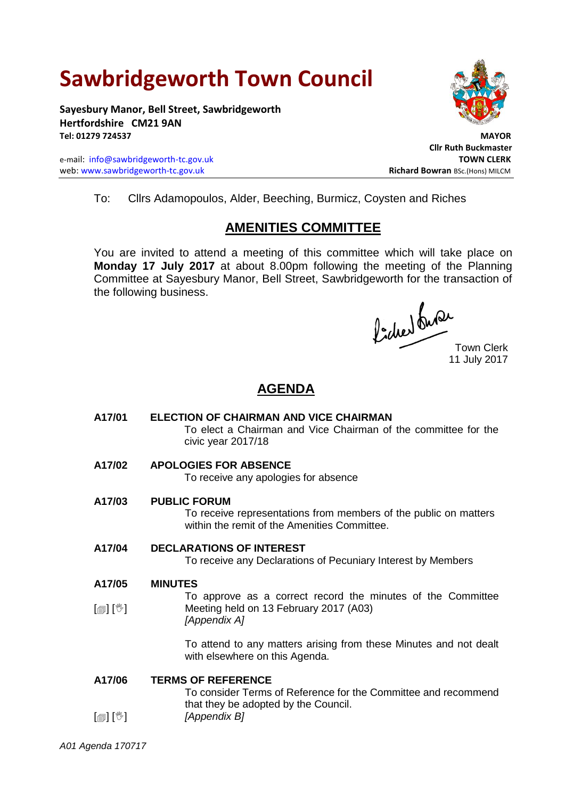# **Sawbridgeworth Town Council**

**Sayesbury Manor, Bell Street, Sawbridgeworth Hertfordshire CM21 9AN Tel: 01279 724537 MAYOR**

e-mail: [info@sawbridgeworth-tc.gov.uk](mailto:info@sawbridgeworth-tc.gov.uk) **TOWN CLERK** web: www.sawbridgeworth-tc.gov.uk **Richard Bowran** BSc.(Hons) MILCM



 **Cllr Ruth Buckmaster**

To: Cllrs Adamopoulos, Alder, Beeching, Burmicz, Coysten and Riches

## **AMENITIES COMMITTEE**

You are invited to attend a meeting of this committee which will take place on **Monday 17 July 2017** at about 8.00pm following the meeting of the Planning Committee at Sayesbury Manor, Bell Street, Sawbridgeworth for the transaction of the following business.

Picked Que

Town Clerk 11 July 2017

### **AGENDA**

**A17/01 ELECTION OF CHAIRMAN AND VICE CHAIRMAN** To elect a Chairman and Vice Chairman of the committee for the civic year 2017/18 **A17/02 APOLOGIES FOR ABSENCE** To receive any apologies for absence **A17/03 PUBLIC FORUM** To receive representations from members of the public on matters within the remit of the Amenities Committee.

**A17/04 DECLARATIONS OF INTEREST**

To receive any Declarations of Pecuniary Interest by Members

**A17/05 MINUTES**

 $\lceil$  [ $\mathbb{I}$ ]  $\lceil \mathbb{V} \rceil$ To approve as a correct record the minutes of the Committee Meeting held on 13 February 2017 (A03) *[Appendix A]*

> To attend to any matters arising from these Minutes and not dealt with elsewhere on this Agenda.

**A17/06 TERMS OF REFERENCE**

To consider Terms of Reference for the Committee and recommend that they be adopted by the Council. *[Appendix B]*

[創] [V]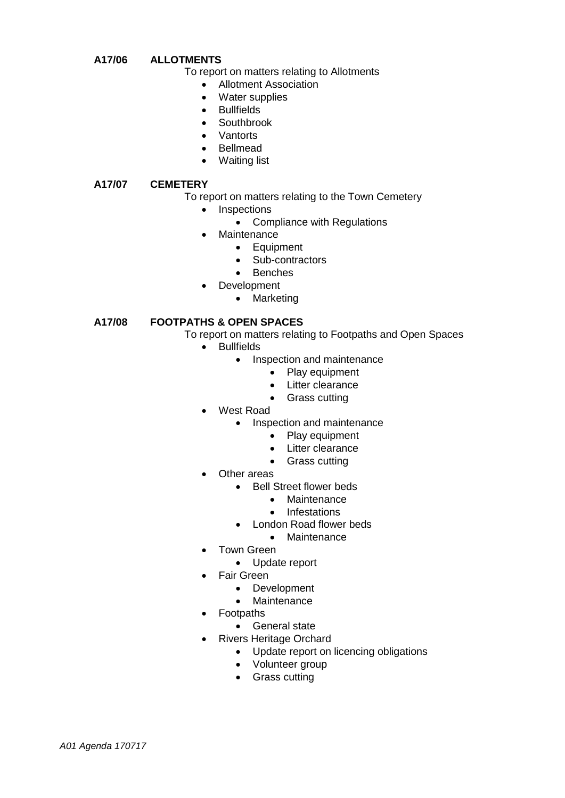#### **A17/06 ALLOTMENTS**

To report on matters relating to Allotments

- Allotment Association
- Water supplies
- Bullfields
- Southbrook
- Vantorts
- Bellmead
- Waiting list

#### **A17/07 CEMETERY**

To report on matters relating to the Town Cemetery

- Inspections
	- Compliance with Regulations
- **Maintenance** 
	- **•** Equipment
	- Sub-contractors
	- Benches
- Development
	- Marketing

#### **A17/08 FOOTPATHS & OPEN SPACES**

- To report on matters relating to Footpaths and Open Spaces
	- Bullfields
		- Inspection and maintenance
			- Play equipment
			- Litter clearance
			- Grass cutting
	- West Road
		- Inspection and maintenance
			- Play equipment
			- Litter clearance
			- Grass cutting
	- Other areas
		- Bell Street flower beds
			- Maintenance
			- Infestations
		- London Road flower beds
			- Maintenance
	- Town Green
		- Update report
	- Fair Green
		- Development
		- **Maintenance**
	- Footpaths
		- General state
	- Rivers Heritage Orchard
		- Update report on licencing obligations
		- Volunteer group
		- Grass cutting